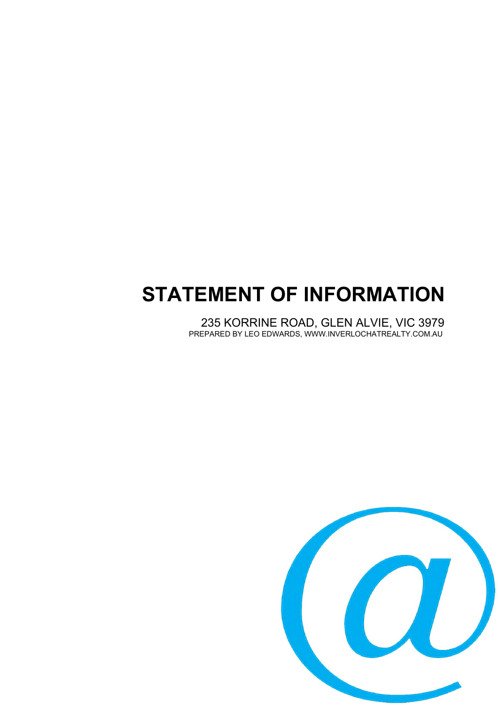# **STATEMENT OF INFORMATION**

235 KORRINE ROAD, GLEN ALVIE, VIC 3979 PREPARED BY LEO EDWARDS, WWW.INVERLOCHATREALTY.COM.AU